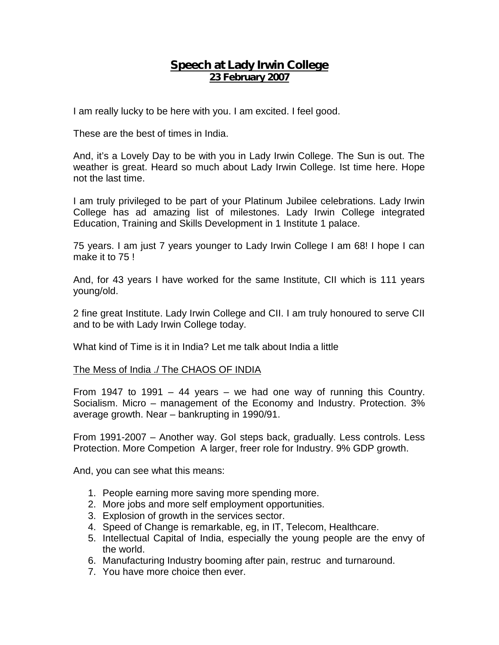## **Speech at Lady Irwin College 23 February 2007**

I am really lucky to be here with you. I am excited. I feel good.

These are the best of times in India.

And, it's a Lovely Day to be with you in Lady Irwin College. The Sun is out. The weather is great. Heard so much about Lady Irwin College. Ist time here. Hope not the last time.

I am truly privileged to be part of your Platinum Jubilee celebrations. Lady Irwin College has ad amazing list of milestones. Lady Irwin College integrated Education, Training and Skills Development in 1 Institute 1 palace.

75 years. I am just 7 years younger to Lady Irwin College I am 68! I hope I can make it to 75 !

And, for 43 years I have worked for the same Institute, CII which is 111 years young/old.

2 fine great Institute. Lady Irwin College and CII. I am truly honoured to serve CII and to be with Lady Irwin College today.

What kind of Time is it in India? Let me talk about India a little

## The Mess of India ./ The CHAOS OF INDIA

From 1947 to 1991 – 44 years – we had one way of running this Country. Socialism. Micro – management of the Economy and Industry. Protection. 3% average growth. Near – bankrupting in 1990/91.

From 1991-2007 – Another way. GoI steps back, gradually. Less controls. Less Protection. More Competion A larger, freer role for Industry. 9% GDP growth.

And, you can see what this means:

- 1. People earning more saving more spending more.
- 2. More jobs and more self employment opportunities.
- 3. Explosion of growth in the services sector.
- 4. Speed of Change is remarkable, eg, in IT, Telecom, Healthcare.
- 5. Intellectual Capital of India, especially the young people are the envy of the world.
- 6. Manufacturing Industry booming after pain, restruc and turnaround.
- 7. You have more choice then ever.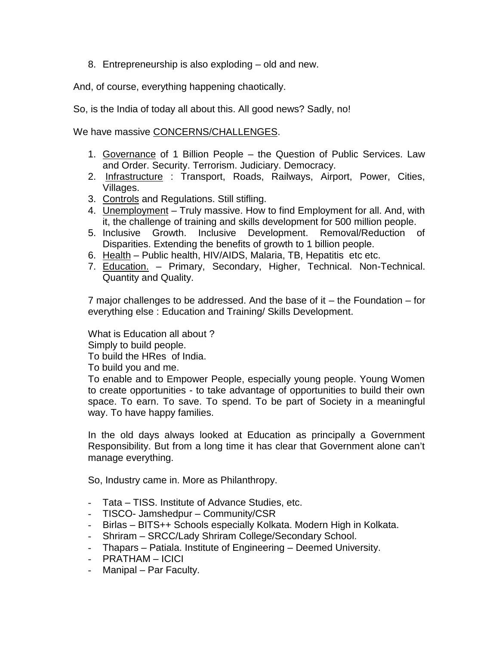8. Entrepreneurship is also exploding – old and new.

And, of course, everything happening chaotically.

So, is the India of today all about this. All good news? Sadly, no!

We have massive CONCERNS/CHALLENGES.

- 1. Governance of 1 Billion People the Question of Public Services. Law and Order. Security. Terrorism. Judiciary. Democracy.
- 2. Infrastructure : Transport, Roads, Railways, Airport, Power, Cities, Villages.
- 3. Controls and Regulations. Still stifling.
- 4. Unemployment Truly massive. How to find Employment for all. And, with it, the challenge of training and skills development for 500 million people.
- 5. Inclusive Growth. Inclusive Development. Removal/Reduction of Disparities. Extending the benefits of growth to 1 billion people.
- 6. Health Public health, HIV/AIDS, Malaria, TB, Hepatitis etc etc.
- 7. Education. Primary, Secondary, Higher, Technical. Non-Technical. Quantity and Quality.

7 major challenges to be addressed. And the base of it – the Foundation – for everything else : Education and Training/ Skills Development.

What is Education all about ?

Simply to build people.

To build the HRes of India.

To build you and me.

To enable and to Empower People, especially young people. Young Women to create opportunities - to take advantage of opportunities to build their own space. To earn. To save. To spend. To be part of Society in a meaningful way. To have happy families.

In the old days always looked at Education as principally a Government Responsibility. But from a long time it has clear that Government alone can't manage everything.

So, Industry came in. More as Philanthropy.

- Tata TISS. Institute of Advance Studies, etc.
- TISCO- Jamshedpur Community/CSR
- Birlas BITS++ Schools especially Kolkata. Modern High in Kolkata.
- Shriram SRCC/Lady Shriram College/Secondary School.
- Thapars Patiala. Institute of Engineering Deemed University.
- PRATHAM ICICI
- Manipal Par Faculty.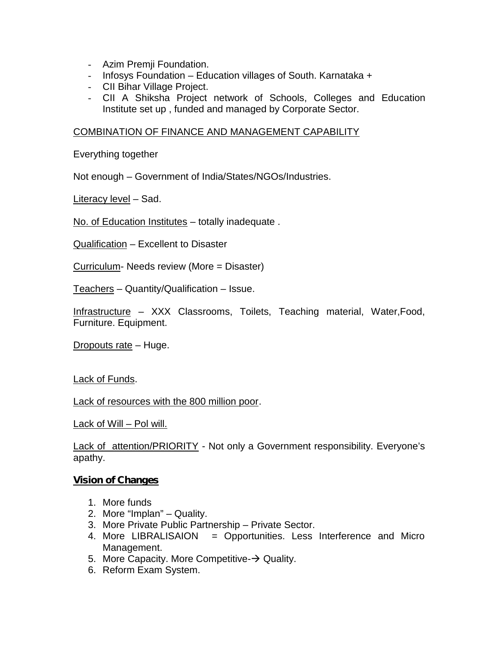- Azim Premji Foundation.
- Infosys Foundation Education villages of South. Karnataka +
- CII Bihar Village Project.
- CII A Shiksha Project network of Schools, Colleges and Education Institute set up , funded and managed by Corporate Sector.

## COMBINATION OF FINANCE AND MANAGEMENT CAPABILITY

Everything together

Not enough – Government of India/States/NGOs/Industries.

Literacy level – Sad.

No. of Education Institutes – totally inadequate .

Qualification – Excellent to Disaster

Curriculum- Needs review (More = Disaster)

Teachers – Quantity/Qualification – Issue.

Infrastructure – XXX Classrooms, Toilets, Teaching material, Water,Food, Furniture. Equipment.

Dropouts rate – Huge.

Lack of Funds.

Lack of resources with the 800 million poor.

Lack of Will – Pol will.

Lack of attention/PRIORITY - Not only a Government responsibility. Everyone's apathy.

## **Vision of Changes**

- 1. More funds
- 2. More "Implan" Quality.
- 3. More Private Public Partnership Private Sector.
- 4. More LIBRALISAION = Opportunities. Less Interference and Micro Management.
- 5. More Capacity. More Competitive- $\rightarrow$  Quality.
- 6. Reform Exam System.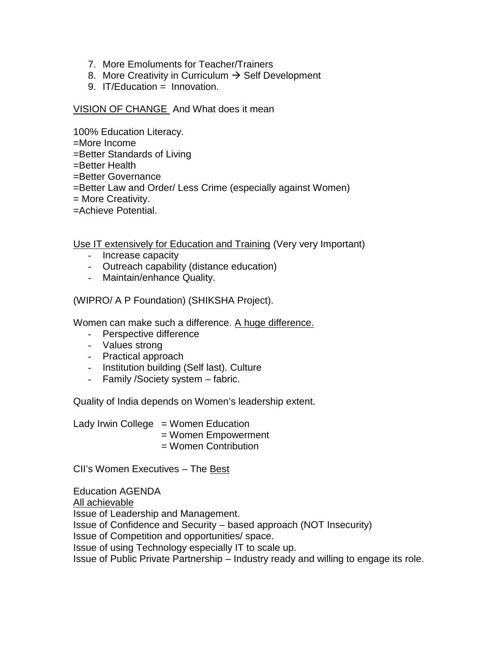- 7. More Emoluments for Teacher/Trainers
- 8. More Creativity in Curriculum  $\rightarrow$  Self Development
- 9. IT/Education = Innovation.

VISION OF CHANGE And What does it mean

100% Education Literacy.

=More Income

=Better Standards of Living

- =Better Health
- =Better Governance
- =Better Law and Order/ Less Crime (especially against Women)
- = More Creativity.
- =Achieve Potential.

Use IT extensively for Education and Training (Very very Important)

- Increase capacity
- Outreach capability (distance education)
- Maintain/enhance Quality.

(WIPRO/ A P Foundation) (SHIKSHA Project).

Women can make such a difference. A huge difference.

- Perspective difference
- Values strong
- Practical approach
- Institution building (Self last). Culture
- Family /Society system fabric.

Quality of India depends on Women's leadership extent.

Lady Irwin College  $=$  Women Education = Women Empowerment = Women Contribution

CII's Women Executives – The Best

Education AGENDA All achievable Issue of Leadership and Management. Issue of Confidence and Security – based approach (NOT Insecurity) Issue of Competition and opportunities/ space. Issue of using Technology especially IT to scale up. Issue of Public Private Partnership – Industry ready and willing to engage its role.